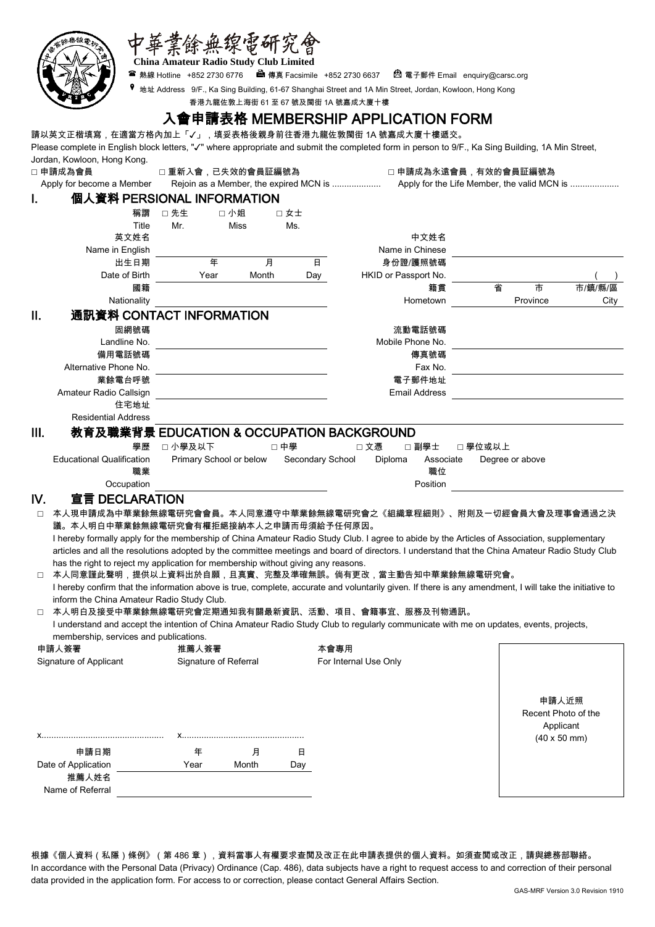|        |                                                                                   |                                        | :無缐電研究會 |                  |                                                                                                                                                         |                             |         |
|--------|-----------------------------------------------------------------------------------|----------------------------------------|---------|------------------|---------------------------------------------------------------------------------------------------------------------------------------------------------|-----------------------------|---------|
|        |                                                                                   | China Amateur Radio Study Club Limited |         |                  |                                                                                                                                                         |                             |         |
|        |                                                                                   |                                        |         |                  | <sup>2</sup> 電子郵件 Email enquiry@carsc.org                                                                                                               |                             |         |
|        |                                                                                   |                                        |         |                  | 地址 Address 9/F., Ka Sing Building, 61-67 Shanghai Street and 1A Min Street, Jordan, Kowloon, Hong Kong                                                  |                             |         |
|        |                                                                                   |                                        |         |                  | 香港九龍佐敦上海街 61 至 67 號及閩街 1A 號嘉成大廈十樓                                                                                                                       |                             |         |
|        |                                                                                   |                                        |         |                  |                                                                                                                                                         |                             |         |
|        |                                                                                   |                                        |         |                  | 入會申請表格 MEMBERSHIP APPLICATION FORM                                                                                                                      |                             |         |
|        |                                                                                   |                                        |         |                  | 請以英文正楷填寫,在適當方格內加上「✔」,填妥表格後親身前往香港九龍佐敦閩街 1A 號嘉成大廈十樓遞交。                                                                                                    |                             |         |
|        |                                                                                   |                                        |         |                  | Please complete in English block letters, "√" where appropriate and submit the completed form in person to 9/F., Ka Sing Building, 1A Min Street,       |                             |         |
|        | Jordan, Kowloon, Hong Kong.                                                       |                                        |         |                  |                                                                                                                                                         |                             |         |
|        | □ 申請成為會員                                                                          | □ 重新入會,已失效的會員証編號為                      |         |                  | □ 申請成為永遠會員,有效的會員証編號為                                                                                                                                    |                             |         |
|        | Apply for become a Member                                                         |                                        |         |                  |                                                                                                                                                         |                             |         |
| L      | 個人資料 PERSIONAL INFORMATION                                                        |                                        |         |                  |                                                                                                                                                         |                             |         |
|        | 稱謂                                                                                | □ 先生                                   | 口小姐     | □ 女士             |                                                                                                                                                         |                             |         |
|        | Title                                                                             | Mr.                                    | Miss    | Ms.              |                                                                                                                                                         |                             |         |
|        | 英文姓名                                                                              |                                        |         |                  | 中文姓名                                                                                                                                                    |                             |         |
|        | Name in English                                                                   |                                        |         |                  | Name in Chinese                                                                                                                                         |                             |         |
|        | 出生日期                                                                              | 年                                      | 月       | 日                | 身份證/護照號碼                                                                                                                                                |                             |         |
|        | Date of Birth                                                                     | Year                                   | Month   | Day              | HKID or Passport No.                                                                                                                                    |                             |         |
|        | 國籍                                                                                |                                        |         |                  | 籍貫                                                                                                                                                      | 市<br>省                      | 市/鎮/縣/區 |
|        | Nationality                                                                       |                                        |         |                  | Hometown                                                                                                                                                | Province                    | City    |
| II.    | 通訊資料 CONTACT INFORMATION                                                          |                                        |         |                  |                                                                                                                                                         |                             |         |
|        | 固網號碼                                                                              |                                        |         |                  | 流動電話號碼                                                                                                                                                  |                             |         |
|        | Landline No.                                                                      |                                        |         |                  | Mobile Phone No.                                                                                                                                        |                             |         |
|        | 備用電話號碼                                                                            |                                        |         |                  | 傳真號碼                                                                                                                                                    |                             |         |
|        | Alternative Phone No.                                                             |                                        |         |                  | Fax No.                                                                                                                                                 |                             |         |
|        | 業餘電台呼號                                                                            |                                        |         |                  | 電子郵件地址                                                                                                                                                  |                             |         |
|        | Amateur Radio Callsign                                                            |                                        |         |                  | <b>Email Address</b>                                                                                                                                    |                             |         |
|        | 住宅地址                                                                              |                                        |         |                  |                                                                                                                                                         |                             |         |
|        | <b>Residential Address</b>                                                        |                                        |         |                  |                                                                                                                                                         |                             |         |
| III.   |                                                                                   |                                        |         |                  | 教育及職業背景 EDUCATION & OCCUPATION BACKGROUND                                                                                                               |                             |         |
|        | 學歷                                                                                | □小學及以下                                 |         | □中學              | 口文憑<br>□ 副學士                                                                                                                                            | □ 學位或以上                     |         |
|        | <b>Educational Qualification</b>                                                  | Primary School or below                |         | Secondary School | Diploma<br>Associate                                                                                                                                    | Degree or above             |         |
|        | 職業                                                                                |                                        |         |                  | 職位                                                                                                                                                      |                             |         |
|        | Occupation                                                                        |                                        |         |                  | Position                                                                                                                                                |                             |         |
| IV.    | 宣言 DECLARATION                                                                    |                                        |         |                  |                                                                                                                                                         |                             |         |
|        |                                                                                   |                                        |         |                  |                                                                                                                                                         |                             |         |
|        |                                                                                   |                                        |         |                  |                                                                                                                                                         |                             |         |
|        | 議。本人明白中華業餘無線電研究會有權拒絕接納本人之申請而毋須給予任何原因。                                             |                                        |         |                  |                                                                                                                                                         |                             |         |
|        |                                                                                   |                                        |         |                  | I hereby formally apply for the membership of China Amateur Radio Study Club. I agree to abide by the Articles of Association, supplementary            |                             |         |
|        |                                                                                   |                                        |         |                  | articles and all the resolutions adopted by the committee meetings and board of directors. I understand that the China Amateur Radio Study Club         |                             |         |
|        | has the right to reject my application for membership without giving any reasons. |                                        |         |                  |                                                                                                                                                         |                             |         |
| $\Box$ |                                                                                   |                                        |         |                  | 本人同意謹此聲明,提供以上資料出於自願,且真實、完整及準確無誤。倘有更改,當主動告知中華業餘無線電研究會。                                                                                                   |                             |         |
|        |                                                                                   |                                        |         |                  | I hereby confirm that the information above is true, complete, accurate and voluntarily given. If there is any amendment, I will take the initiative to |                             |         |
|        | inform the China Amateur Radio Study Club.                                        |                                        |         |                  |                                                                                                                                                         |                             |         |
| $\Box$ |                                                                                   |                                        |         |                  | 本人明白及接受中華業餘無線電研究會定期通知我有關最新資訊、活動、項目、會籍事宜、服務及刊物通訊。                                                                                                        |                             |         |
|        |                                                                                   |                                        |         |                  | I understand and accept the intention of China Amateur Radio Study Club to regularly communicate with me on updates, events, projects,                  |                             |         |
|        | membership, services and publications.                                            | 推薦人簽署                                  |         |                  |                                                                                                                                                         |                             |         |
| 申請人簽署  |                                                                                   |                                        |         |                  | 本會專用                                                                                                                                                    |                             |         |
|        | Signature of Applicant                                                            | Signature of Referral                  |         |                  | For Internal Use Only                                                                                                                                   |                             |         |
|        |                                                                                   |                                        |         |                  |                                                                                                                                                         |                             |         |
|        |                                                                                   |                                        |         |                  |                                                                                                                                                         | 申請人近照                       |         |
|        |                                                                                   |                                        |         |                  |                                                                                                                                                         | Recent Photo of the         |         |
|        |                                                                                   |                                        |         |                  |                                                                                                                                                         | Applicant                   |         |
|        |                                                                                   |                                        |         |                  |                                                                                                                                                         | $(40 \times 50 \text{ mm})$ |         |
|        | 申請日期                                                                              | 年                                      | 月       | 日                |                                                                                                                                                         |                             |         |
|        | Date of Application                                                               | Year                                   | Month   | Day              |                                                                                                                                                         |                             |         |
|        | 推薦人姓名                                                                             |                                        |         |                  |                                                                                                                                                         |                             |         |

根據《個人資料(私隱)條例》(第 486 章),資料當事人有權要求查閲及改正在此申請表提供的個人資料。如須查閲或改正,請與總務部聯絡。 In accordance with the Personal Data (Privacy) Ordinance (Cap. 486), data subjects have a right to request access to and correction of their personal data provided in the application form. For access to or correction, please contact General Affairs Section.